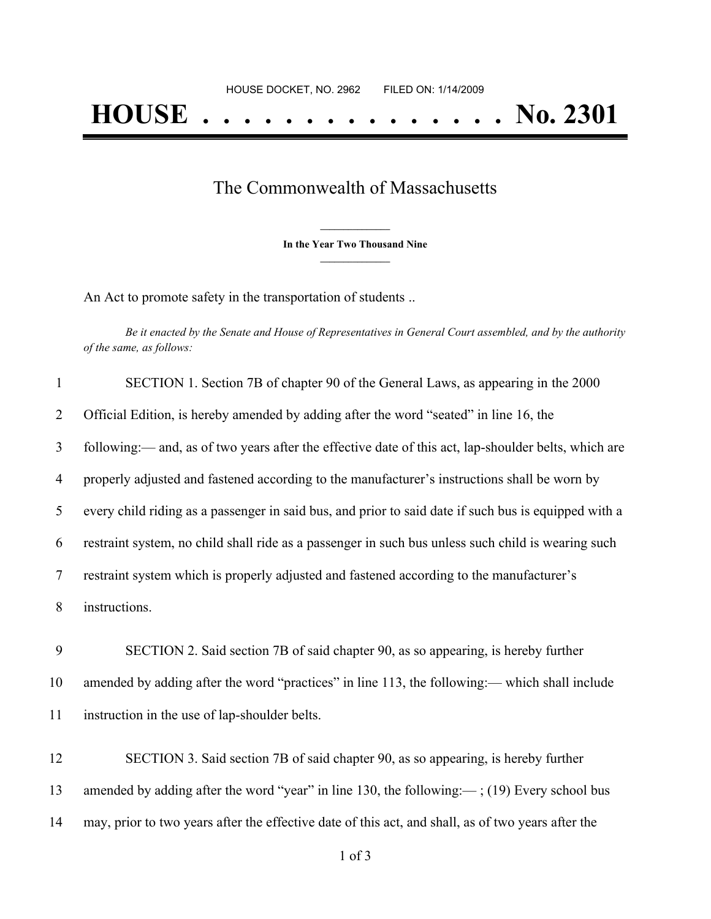## The Commonwealth of Massachusetts

**\_\_\_\_\_\_\_\_\_\_\_\_\_\_\_ In the Year Two Thousand Nine \_\_\_\_\_\_\_\_\_\_\_\_\_\_\_**

An Act to promote safety in the transportation of students ..

Be it enacted by the Senate and House of Representatives in General Court assembled, and by the authority *of the same, as follows:*

| $\mathbf{1}$   | SECTION 1. Section 7B of chapter 90 of the General Laws, as appearing in the 2000                    |
|----------------|------------------------------------------------------------------------------------------------------|
| 2              | Official Edition, is hereby amended by adding after the word "seated" in line 16, the                |
| $\overline{3}$ | following:— and, as of two years after the effective date of this act, lap-shoulder belts, which are |
| 4              | properly adjusted and fastened according to the manufacturer's instructions shall be worn by         |
| 5              | every child riding as a passenger in said bus, and prior to said date if such bus is equipped with a |
| 6              | restraint system, no child shall ride as a passenger in such bus unless such child is wearing such   |
| 7              | restraint system which is properly adjusted and fastened according to the manufacturer's             |
| 8              | instructions.                                                                                        |
| 9              | SECTION 2. Said section 7B of said chapter 90, as so appearing, is hereby further                    |
| 10             | amended by adding after the word "practices" in line 113, the following:— which shall include        |
| 11             | instruction in the use of lap-shoulder belts.                                                        |

12 SECTION 3. Said section 7B of said chapter 90, as so appearing, is hereby further 13 amended by adding after the word "year" in line 130, the following:—; (19) Every school bus 14 may, prior to two years after the effective date of this act, and shall, as of two years after the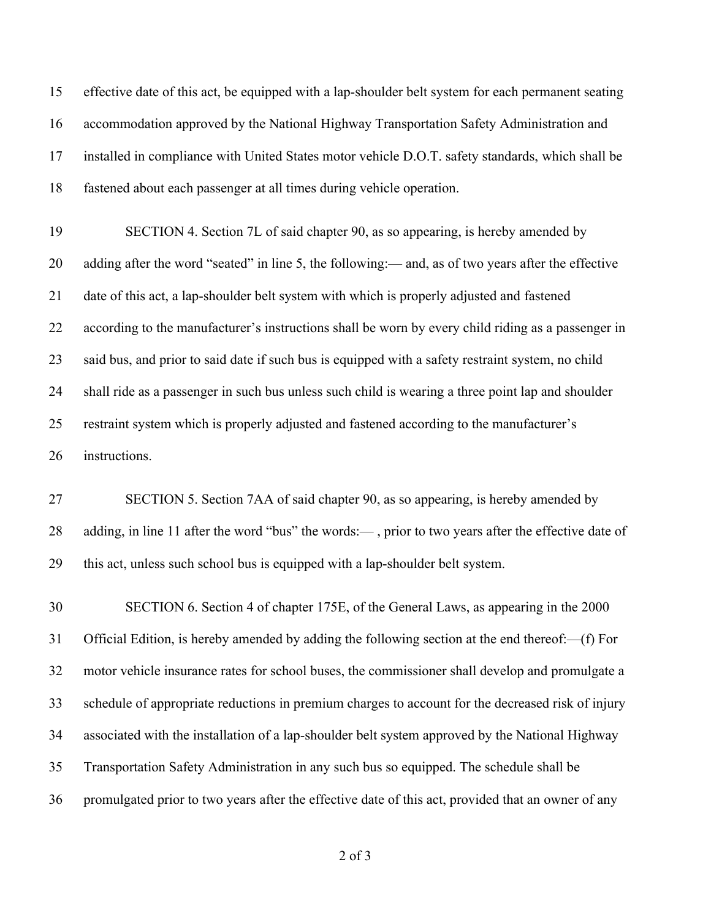effective date of this act, be equipped with a lap-shoulder belt system for each permanent seating accommodation approved by the National Highway Transportation Safety Administration and installed in compliance with United States motor vehicle D.O.T. safety standards, which shall be fastened about each passenger at all times during vehicle operation.

 SECTION 4. Section 7L of said chapter 90, as so appearing, is hereby amended by adding after the word "seated" in line 5, the following:— and, as of two years after the effective date of this act, a lap-shoulder belt system with which is properly adjusted and fastened according to the manufacturer's instructions shall be worn by every child riding as a passenger in said bus, and prior to said date if such bus is equipped with a safety restraint system, no child shall ride as a passenger in such bus unless such child is wearing a three point lap and shoulder restraint system which is properly adjusted and fastened according to the manufacturer's instructions.

 SECTION 5. Section 7AA of said chapter 90, as so appearing, is hereby amended by adding, in line 11 after the word "bus" the words:— , prior to two years after the effective date of this act, unless such school bus is equipped with a lap-shoulder belt system.

 SECTION 6. Section 4 of chapter 175E, of the General Laws, as appearing in the 2000 Official Edition, is hereby amended by adding the following section at the end thereof:—(f) For motor vehicle insurance rates for school buses, the commissioner shall develop and promulgate a schedule of appropriate reductions in premium charges to account for the decreased risk of injury associated with the installation of a lap-shoulder belt system approved by the National Highway Transportation Safety Administration in any such bus so equipped. The schedule shall be promulgated prior to two years after the effective date of this act, provided that an owner of any

of 3